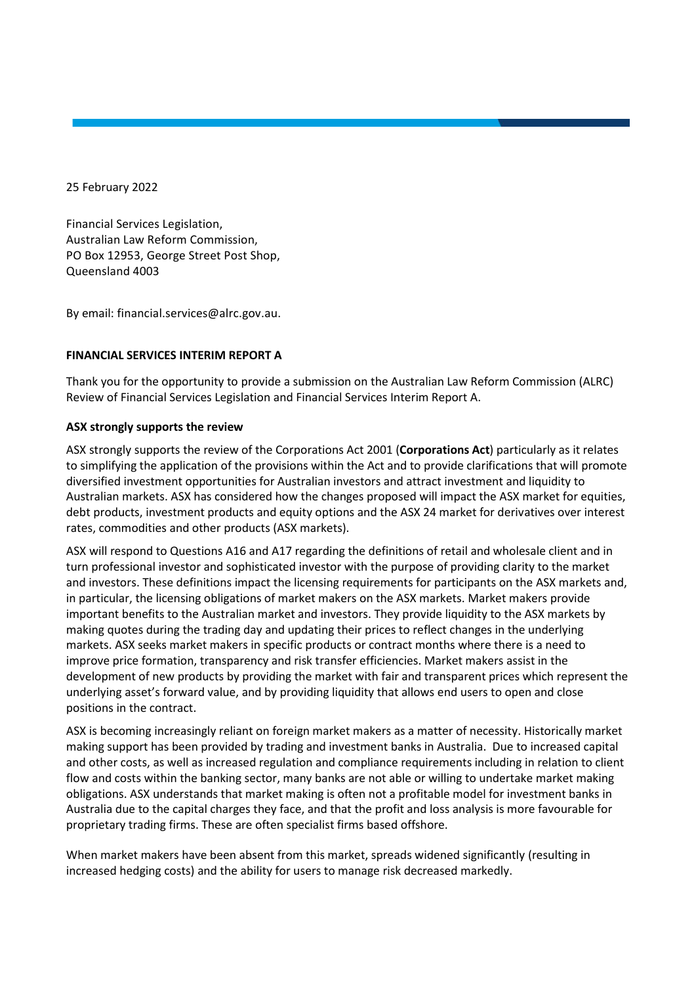25 February 2022

Financial Services Legislation, Australian Law Reform Commission, PO Box 12953, George Street Post Shop, Queensland 4003

By email: financial.services@alrc.gov.au.

## **FINANCIAL SERVICES INTERIM REPORT A**

Thank you for the opportunity to provide a submission on the Australian Law Reform Commission (ALRC) Review of Financial Services Legislation and Financial Services Interim Report A.

#### **ASX strongly supports the review**

ASX strongly supports the review of the Corporations Act 2001 (**Corporations Act**) particularly as it relates to simplifying the application of the provisions within the Act and to provide clarifications that will promote diversified investment opportunities for Australian investors and attract investment and liquidity to Australian markets. ASX has considered how the changes proposed will impact the ASX market for equities, debt products, investment products and equity options and the ASX 24 market for derivatives over interest rates, commodities and other products (ASX markets).

ASX will respond to Questions A16 and A17 regarding the definitions of retail and wholesale client and in turn professional investor and sophisticated investor with the purpose of providing clarity to the market and investors. These definitions impact the licensing requirements for participants on the ASX markets and, in particular, the licensing obligations of market makers on the ASX markets. Market makers provide important benefits to the Australian market and investors. They provide liquidity to the ASX markets by making quotes during the trading day and updating their prices to reflect changes in the underlying markets. ASX seeks market makers in specific products or contract months where there is a need to improve price formation, transparency and risk transfer efficiencies. Market makers assist in the development of new products by providing the market with fair and transparent prices which represent the underlying asset's forward value, and by providing liquidity that allows end users to open and close positions in the contract.

ASX is becoming increasingly reliant on foreign market makers as a matter of necessity. Historically market making support has been provided by trading and investment banks in Australia. Due to increased capital and other costs, as well as increased regulation and compliance requirements including in relation to client flow and costs within the banking sector, many banks are not able or willing to undertake market making obligations. ASX understands that market making is often not a profitable model for investment banks in Australia due to the capital charges they face, and that the profit and loss analysis is more favourable for proprietary trading firms. These are often specialist firms based offshore.

When market makers have been absent from this market, spreads widened significantly (resulting in increased hedging costs) and the ability for users to manage risk decreased markedly.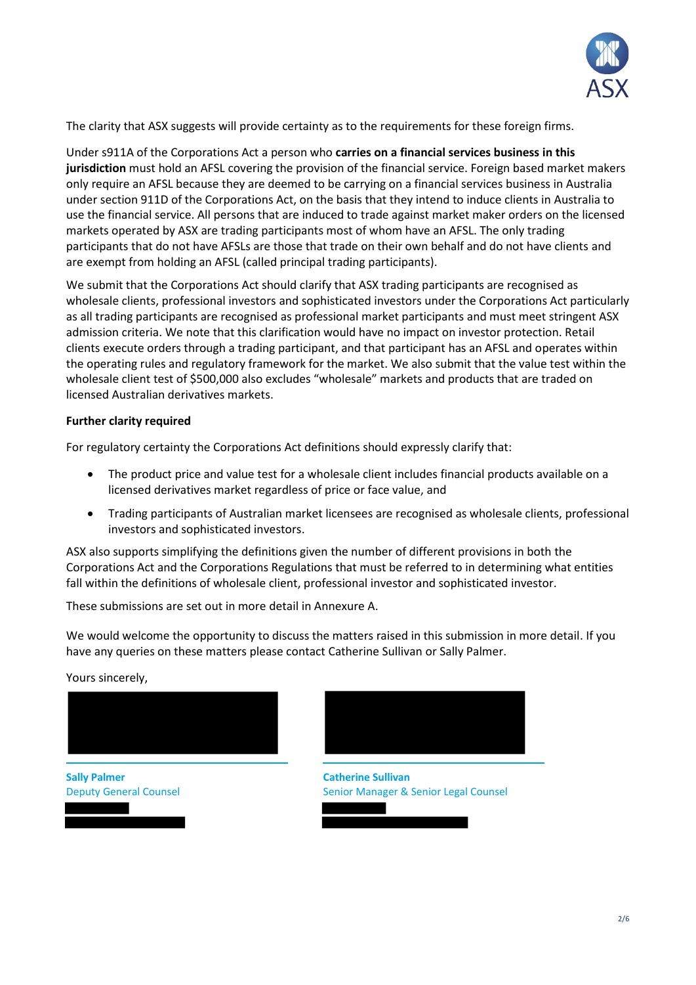

The clarity that ASX suggests will provide certainty as to the requirements for these foreign firms.

Under s911A of the Corporations Act a person who **carries on a financial services business in this jurisdiction** must hold an AFSL covering the provision of the financial service. Foreign based market makers only require an AFSL because they are deemed to be carrying on a financial services business in Australia under section 911D of the Corporations Act, on the basis that they intend to induce clients in Australia to use the financial service. All persons that are induced to trade against market maker orders on the licensed markets operated by ASX are trading participants most of whom have an AFSL. The only trading participants that do not have AFSLs are those that trade on their own behalf and do not have clients and are exempt from holding an AFSL (called principal trading participants).

We submit that the Corporations Act should clarify that ASX trading participants are recognised as wholesale clients, professional investors and sophisticated investors under the Corporations Act particularly as all trading participants are recognised as professional market participants and must meet stringent ASX admission criteria. We note that this clarification would have no impact on investor protection. Retail clients execute orders through a trading participant, and that participant has an AFSL and operates within the operating rules and regulatory framework for the market. We also submit that the value test within the wholesale client test of \$500,000 also excludes "wholesale" markets and products that are traded on licensed Australian derivatives markets.

## **Further clarity required**

For regulatory certainty the Corporations Act definitions should expressly clarify that:

- The product price and value test for a wholesale client includes financial products available on a licensed derivatives market regardless of price or face value, and
- Trading participants of Australian market licensees are recognised as wholesale clients, professional investors and sophisticated investors.

ASX also supports simplifying the definitions given the number of different provisions in both the Corporations Act and the Corporations Regulations that must be referred to in determining what entities fall within the definitions of wholesale client, professional investor and sophisticated investor.

These submissions are set out in more detail in Annexure A.

We would welcome the opportunity to discuss the matters raised in this submission in more detail. If you have any queries on these matters please contact Catherine Sullivan or Sally Palmer.

#### Yours sincerely,



Deputy General Counsel



**Catherine Sullivan** Senior Manager & Senior Legal Counsel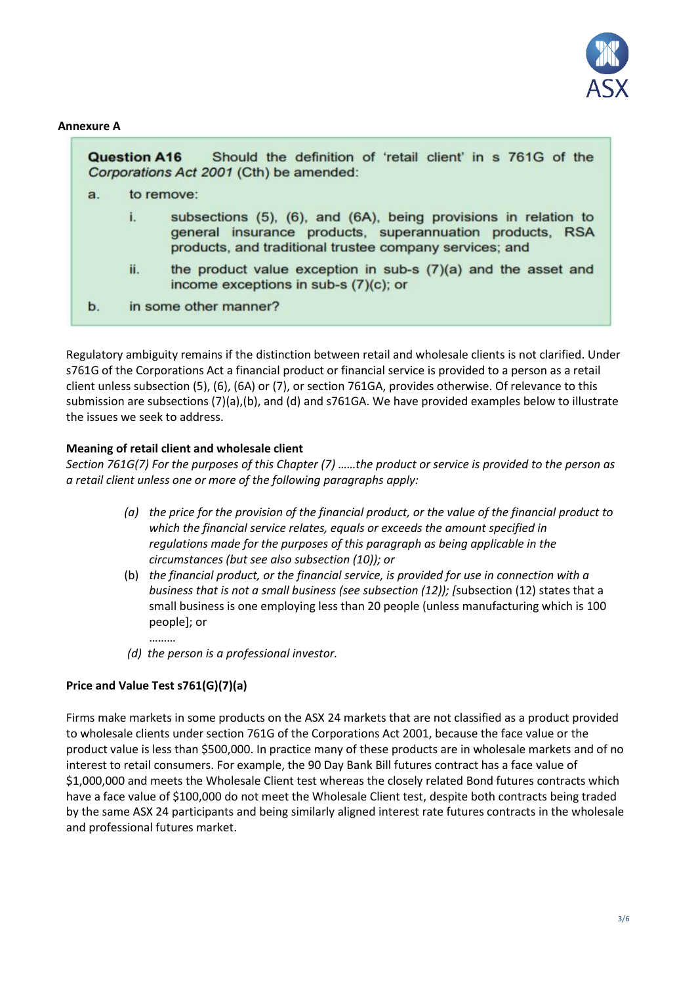

#### **Annexure A**

| <b>Question A16</b>                     |  | Should the definition of 'retail client' in s 761G of the |  |  |  |  |
|-----------------------------------------|--|-----------------------------------------------------------|--|--|--|--|
| Corporations Act 2001 (Cth) be amended: |  |                                                           |  |  |  |  |

- to remove:  $a<sub>x</sub>$ 
	- i. subsections (5), (6), and (6A), being provisions in relation to general insurance products, superannuation products, RSA products, and traditional trustee company services; and
		- ii. the product value exception in sub-s  $(7)(a)$  and the asset and income exceptions in sub-s (7)(c); or
- in some other manner?  $b.$

Regulatory ambiguity remains if the distinction between retail and wholesale clients is not clarified. Under s761G of the Corporations Act a financial product or financial service is provided to a person as a retail client unless subsection (5), (6), (6A) or (7), or section 761GA, provides otherwise. Of relevance to this submission are subsections (7)(a),(b), and (d) and s761GA. We have provided examples below to illustrate the issues we seek to address.

## **Meaning of retail client and wholesale client**

*Section 761G(7) For the purposes of this Chapter (7) ……the product or service is provided to the person as a retail client unless one or more of the following paragraphs apply:*

- *(a) the price for the provision of the financial product, or the value of the financial product to which the financial service relates, equals or exceeds the amount specified in regulations made for the purposes of this paragraph as being applicable in the circumstances (but see also subsection (10)); or*
- (b) *the financial product, or the financial service, is provided for use in connection with a business that is not a small business (see subsection (12)); [*subsection (12) states that a small business is one employing less than 20 people (unless manufacturing which is 100 people]; or
- *(d) the person is a professional investor.*

# **Price and Value Test s761(G)(7)(a)**

………

Firms make markets in some products on the ASX 24 markets that are not classified as a product provided to wholesale clients under section 761G of the Corporations Act 2001, because the face value or the product value is less than \$500,000. In practice many of these products are in wholesale markets and of no interest to retail consumers. For example, the 90 Day Bank Bill futures contract has a face value of \$1,000,000 and meets the Wholesale Client test whereas the closely related Bond futures contracts which have a face value of \$100,000 do not meet the Wholesale Client test, despite both contracts being traded by the same ASX 24 participants and being similarly aligned interest rate futures contracts in the wholesale and professional futures market.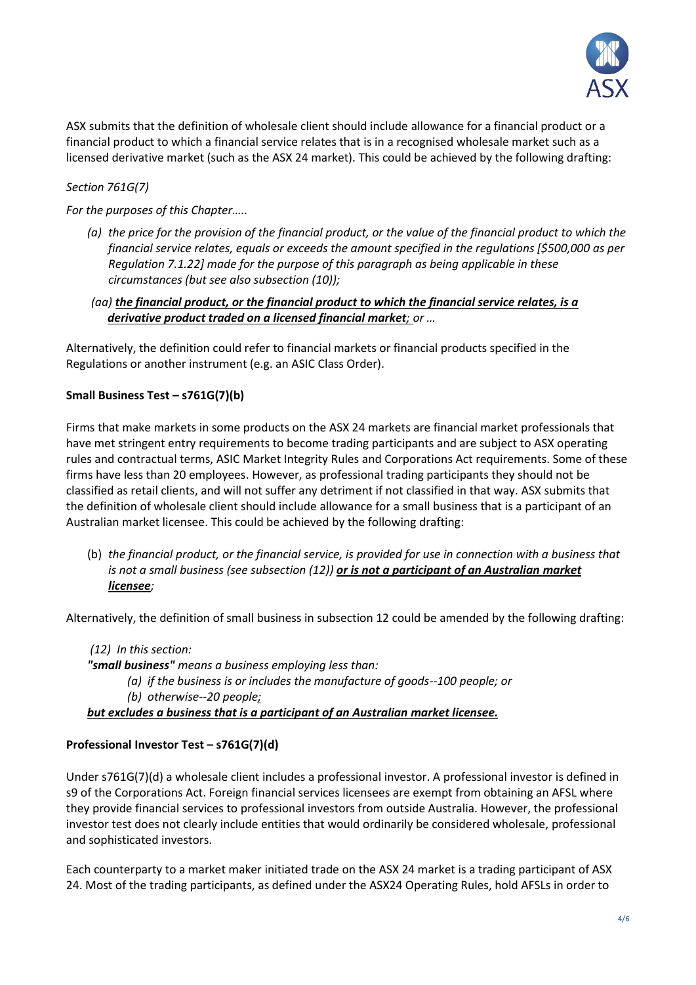

ASX submits that the definition of wholesale client should include allowance for a financial product or a financial product to which a financial service relates that is in a recognised wholesale market such as a licensed derivative market (such as the ASX 24 market). This could be achieved by the following drafting:

# *Section 761G(7)*

*For the purposes of this Chapter…..*

- *(a) the price for the provision of the financial product, or the value of the financial product to which the financial service relates, equals or exceeds the amount specified in the regulations [\$500,000 as per Regulation 7.1.22] made for the purpose of this paragraph as being applicable in these circumstances (but see also subsection (10));*
- *(aa) the financial product, or the financial product to which the financial service relates, is a derivative product traded on a licensed financial market; or …*

Alternatively, the definition could refer to financial markets or financial products specified in the Regulations or another instrument (e.g. an ASIC Class Order).

# **Small Business Test – s761G(7)(b)**

Firms that make markets in some products on the ASX 24 markets are financial market professionals that have met stringent entry requirements to become trading participants and are subject to ASX operating rules and contractual terms, ASIC Market Integrity Rules and Corporations Act requirements. Some of these firms have less than 20 employees. However, as professional trading participants they should not be classified as retail clients, and will not suffer any detriment if not classified in that way. ASX submits that the definition of wholesale client should include allowance for a small business that is a participant of an Australian market licensee. This could be achieved by the following drafting:

(b) *the financial product, or the financial service, is provided for use in connection with a business that is not a small business (see subsection (12)) or is not a participant of an Australian market licensee;* 

Alternatively, the definition of small business in subsection 12 could be amended by the following drafting:

*(12) In this section: "small business" means a business employing less than: (a) if the business is or includes the manufacture of goods--100 people; or (b) otherwise--20 people; but excludes a business that is a participant of an Australian market licensee.*

# **Professional Investor Test – s761G(7)(d)**

Under s761G(7)(d) a wholesale client includes a professional investor. A professional investor is defined in s9 of the Corporations Act. Foreign financial services licensees are exempt from obtaining an AFSL where they provide financial services to professional investors from outside Australia. However, the professional investor test does not clearly include entities that would ordinarily be considered wholesale, professional and sophisticated investors.

Each counterparty to a market maker initiated trade on the ASX 24 market is a trading participant of ASX 24. Most of the trading participants, as defined under the ASX24 Operating Rules, hold AFSLs in order to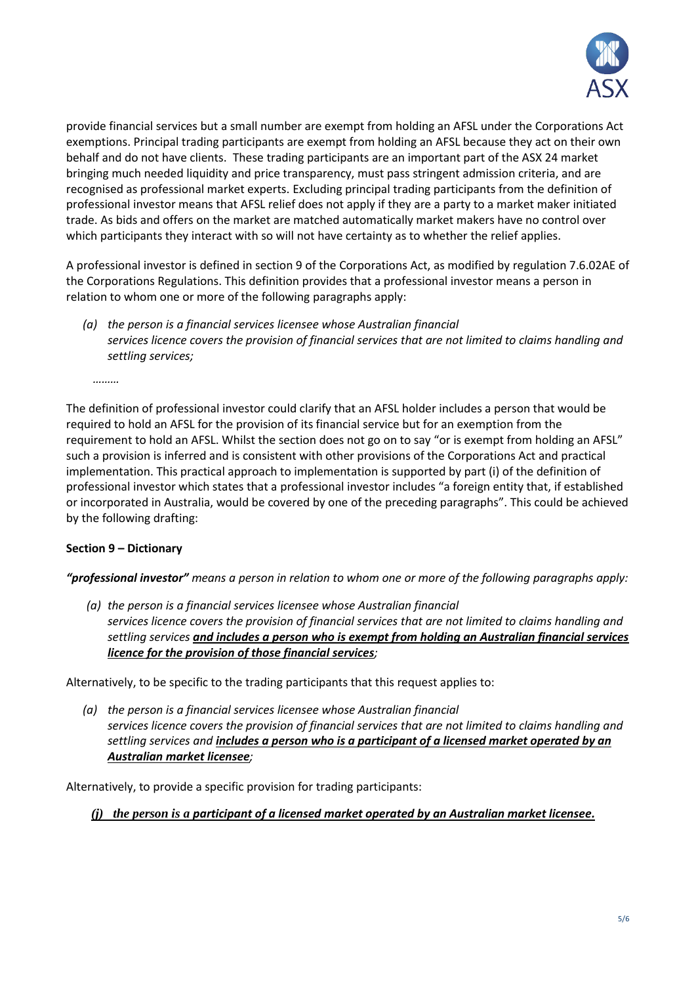

provide financial services but a small number are exempt from holding an AFSL under the Corporations Act exemptions. Principal trading participants are exempt from holding an AFSL because they act on their own behalf and do not have clients. These trading participants are an important part of the ASX 24 market bringing much needed liquidity and price transparency, must pass stringent admission criteria, and are recognised as professional market experts. Excluding principal trading participants from the definition of professional investor means that AFSL relief does not apply if they are a party to a market maker initiated trade. As bids and offers on the market are matched automatically market makers have no control over which participants they interact with so will not have certainty as to whether the relief applies.

A professional investor is defined in section 9 of the Corporations Act, as modified by regulation 7.6.02AE of the Corporations Regulations. This definition provides that a professional investor means a person in relation to whom one or more of the following paragraphs apply:

*(a) the person is a financial services licensee whose Australian financial services licence covers the provision of financial services that are not limited to claims handling and settling services;*

*………*

The definition of professional investor could clarify that an AFSL holder includes a person that would be required to hold an AFSL for the provision of its financial service but for an exemption from the requirement to hold an AFSL. Whilst the section does not go on to say "or is exempt from holding an AFSL" such a provision is inferred and is consistent with other provisions of the Corporations Act and practical implementation. This practical approach to implementation is supported by part (i) of the definition of professional investor which states that a professional investor includes "a foreign entity that, if established or incorporated in Australia, would be covered by one of the preceding paragraphs". This could be achieved by the following drafting:

# **Section 9 – Dictionary**

*"professional investor" means a person in relation to whom one or more of the following paragraphs apply:*

*(a) the person is a financial services licensee whose Australian financial services licence covers the provision of financial services that are not limited to claims handling and settling services and includes a person who is exempt from holding an Australian financial services licence for the provision of those financial services;*

Alternatively, to be specific to the trading participants that this request applies to:

*(a) the person is a financial services licensee whose Australian financial services licence covers the provision of financial services that are not limited to claims handling and settling services and includes a person who is a participant of a licensed market operated by an Australian market licensee;*

Alternatively, to provide a specific provision for trading participants:

*(j) the person is a participant of a licensed market operated by an Australian market licensee.*